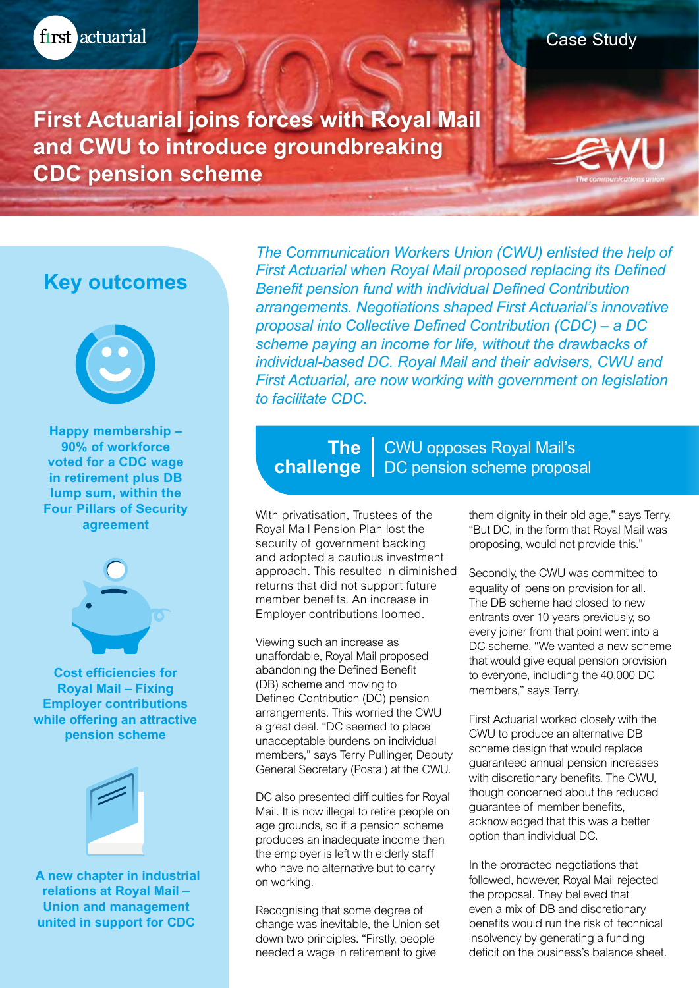Case Study

**First Actuarial joins forces with Royal Mail and CWU to introduce groundbreaking CDC pension scheme**

# **Key outcomes**



**Happy membership – 90% of workforce voted for a CDC wage in retirement plus DB lump sum, within the Four Pillars of Security agreement**



**Cost efficiencies for Royal Mail – Fixing Employer contributions while offering an attractive pension scheme**



**A new chapter in industrial relations at Royal Mail – Union and management united in support for CDC**

*The Communication Workers Union (CWU) enlisted the help of First Actuarial when Royal Mail proposed replacing its Defined Benefit pension fund with individual Defined Contribution arrangements. Negotiations shaped First Actuarial's innovative proposal into Collective Defined Contribution (CDC) – a DC scheme paying an income for life, without the drawbacks of individual-based DC. Royal Mail and their advisers, CWU and First Actuarial, are now working with government on legislation to facilitate CDC.*

## CWU opposes Royal Mail's **The**  challenge | DC pension scheme proposal

With privatisation, Trustees of the Royal Mail Pension Plan lost the security of government backing and adopted a cautious investment approach. This resulted in diminished returns that did not support future member benefits. An increase in Employer contributions loomed.

Viewing such an increase as unaffordable, Royal Mail proposed abandoning the Defined Benefit (DB) scheme and moving to Defined Contribution (DC) pension arrangements. This worried the CWU a great deal. "DC seemed to place unacceptable burdens on individual members," says Terry Pullinger, Deputy General Secretary (Postal) at the CWU.

DC also presented difficulties for Royal Mail. It is now illegal to retire people on age grounds, so if a pension scheme produces an inadequate income then the employer is left with elderly staff who have no alternative but to carry on working.

Recognising that some degree of change was inevitable, the Union set down two principles. "Firstly, people needed a wage in retirement to give

them dignity in their old age," says Terry. "But DC, in the form that Royal Mail was proposing, would not provide this."

Secondly, the CWU was committed to equality of pension provision for all. The DB scheme had closed to new entrants over 10 years previously, so every joiner from that point went into a DC scheme. "We wanted a new scheme that would give equal pension provision to everyone, including the 40,000 DC members," says Terry.

First Actuarial worked closely with the CWU to produce an alternative DB scheme design that would replace guaranteed annual pension increases with discretionary benefits. The CWU, though concerned about the reduced guarantee of member benefits, acknowledged that this was a better option than individual DC.

In the protracted negotiations that followed, however, Royal Mail rejected the proposal. They believed that even a mix of DB and discretionary benefits would run the risk of technical insolvency by generating a funding deficit on the business's balance sheet.